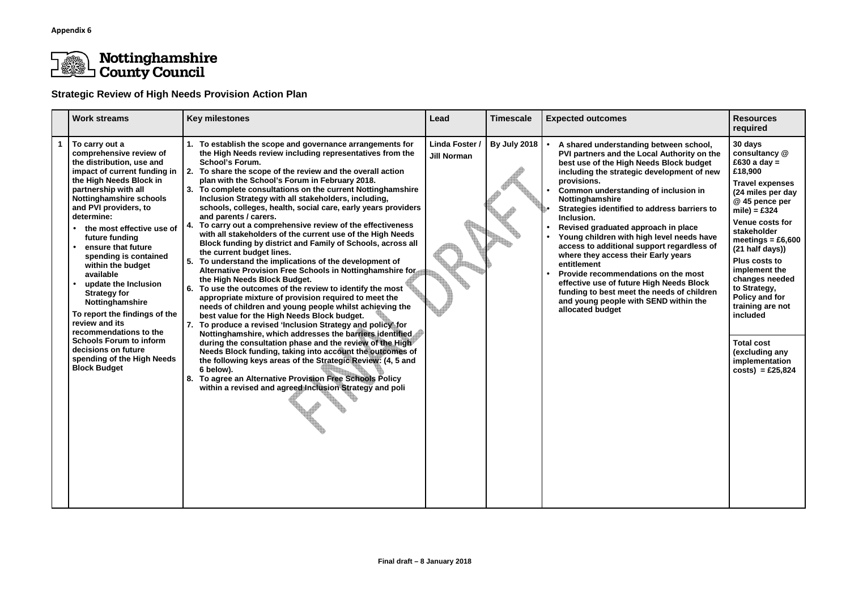

## **Nottinghamshire<br>County Council**

## **Strategic Review of High Needs Provision Action Plan**

| <b>Work streams</b>                                                                                                                                                                                                                                                                                                                                                                                                                                                                                                                                                                               | <b>Key milestones</b>                                                                                                                                                                                                                                                                                                                                                                                                                                                                                                                                                                                                                                                                                                                                                                                                                                                                                                                                                                                                                                                                                                                                                                                                                                                                                                                                                                                                                                                                                                                                                                              | Lead                                 | <b>Timescale</b> | <b>Expected outcomes</b>                                                                                                                                                                                                                                                                                                                                                                                                                                                                                                                                                                                                                                                                                     | <b>Resources</b><br>required                                                                                                                                                                                                                                                                                                                                                                                                      |
|---------------------------------------------------------------------------------------------------------------------------------------------------------------------------------------------------------------------------------------------------------------------------------------------------------------------------------------------------------------------------------------------------------------------------------------------------------------------------------------------------------------------------------------------------------------------------------------------------|----------------------------------------------------------------------------------------------------------------------------------------------------------------------------------------------------------------------------------------------------------------------------------------------------------------------------------------------------------------------------------------------------------------------------------------------------------------------------------------------------------------------------------------------------------------------------------------------------------------------------------------------------------------------------------------------------------------------------------------------------------------------------------------------------------------------------------------------------------------------------------------------------------------------------------------------------------------------------------------------------------------------------------------------------------------------------------------------------------------------------------------------------------------------------------------------------------------------------------------------------------------------------------------------------------------------------------------------------------------------------------------------------------------------------------------------------------------------------------------------------------------------------------------------------------------------------------------------------|--------------------------------------|------------------|--------------------------------------------------------------------------------------------------------------------------------------------------------------------------------------------------------------------------------------------------------------------------------------------------------------------------------------------------------------------------------------------------------------------------------------------------------------------------------------------------------------------------------------------------------------------------------------------------------------------------------------------------------------------------------------------------------------|-----------------------------------------------------------------------------------------------------------------------------------------------------------------------------------------------------------------------------------------------------------------------------------------------------------------------------------------------------------------------------------------------------------------------------------|
| To carry out a<br>comprehensive review of<br>the distribution, use and<br>the High Needs Block in<br>partnership with all<br><b>Nottinghamshire schools</b><br>and PVI providers, to<br>determine:<br>• the most effective use of<br>future funding<br>ensure that future<br>spending is contained<br>within the budget<br>available<br>update the Inclusion<br><b>Strategy for</b><br>Nottinghamshire<br>To report the findings of the<br>review and its<br>recommendations to the<br><b>Schools Forum to inform</b><br>decisions on future<br>spending of the High Needs<br><b>Block Budget</b> | 1. To establish the scope and governance arrangements for<br>the High Needs review including representatives from the<br><b>School's Forum.</b><br>impact of current funding in $\vert$ 2. To share the scope of the review and the overall action<br>plan with the School's Forum in February 2018.<br>3. To complete consultations on the current Nottinghamshire<br>Inclusion Strategy with all stakeholders, including,<br>schools, colleges, health, social care, early years providers<br>and parents / carers.<br>To carry out a comprehensive review of the effectiveness<br>4.<br>with all stakeholders of the current use of the High Needs<br>Block funding by district and Family of Schools, across all<br>the current budget lines.<br>5.<br>To understand the implications of the development of<br>Alternative Provision Free Schools in Nottinghamshire for<br>the High Needs Block Budget.<br>6. To use the outcomes of the review to identify the most<br>appropriate mixture of provision required to meet the<br>needs of children and young people whilst achieving the<br>best value for the High Needs Block budget.<br>7. To produce a revised 'Inclusion Strategy and policy' for<br>Nottinghamshire, which addresses the barriers identified<br>during the consultation phase and the review of the High<br>Needs Block funding, taking into account the outcomes of<br>the following keys areas of the Strategic Review: (4, 5 and<br>6 below).<br>8. To agree an Alternative Provision Free Schools Policy<br>within a revised and agreed Inclusion Strategy and poli | Linda Foster /<br><b>Jill Norman</b> | By July 2018     | A shared understanding between school,<br>PVI partners and the Local Authority on the<br>best use of the High Needs Block budget<br>including the strategic development of new<br>provisions.<br>Common understanding of inclusion in<br>Nottinghamshire<br>Strategies identified to address barriers to<br>Inclusion.<br>Revised graduated approach in place<br>Young children with high level needs have<br>access to additional support regardless of<br>where they access their Early years<br>entitlement<br>Provide recommendations on the most<br>effective use of future High Needs Block<br>funding to best meet the needs of children<br>and young people with SEND within the<br>allocated budget | 30 days<br>consultancy @<br>£630 a day $=$<br>£18,900<br><b>Travel expenses</b><br>(24 miles per day<br>@ 45 pence per<br>$mile$ ) = £324<br><b>Venue costs for</b><br>stakeholder<br>meetings = $£6,600$<br>(21 half days))<br>Plus costs to<br>implement the<br>changes needed<br>to Strategy,<br>Policy and for<br>training are not<br>included<br><b>Total cost</b><br>(excluding any<br>implementation<br>$costs) = £25,824$ |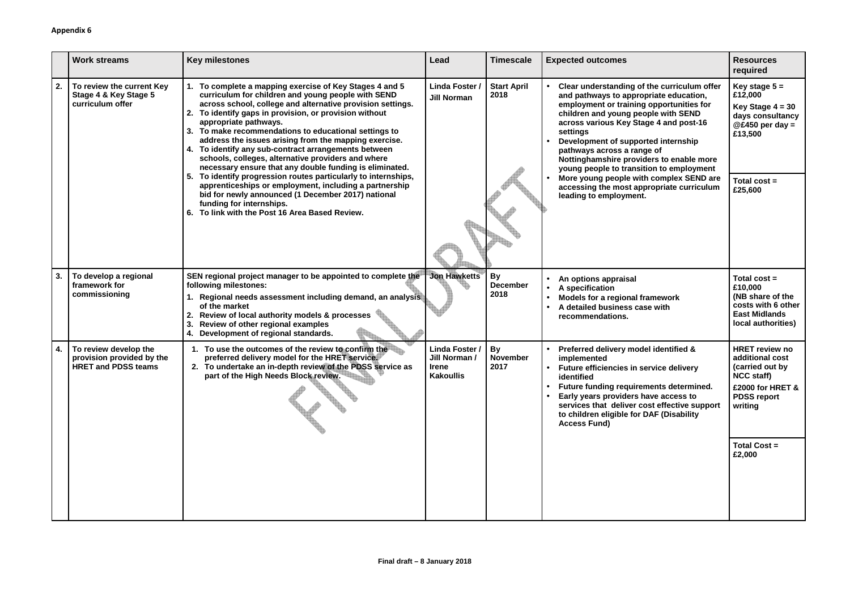|    | <b>Work streams</b>                                                              | <b>Key milestones</b>                                                                                                                                                                                                                                                                                                                                                                                                                                                                                                                                                                                                                                                                                                                                                                                               | Lead                                                              | <b>Timescale</b>                     | <b>Expected outcomes</b>                                                                                                                                                                                                                                                                                                                                                                                                                                                                                      | <b>Resources</b><br>required                                                                                                          |
|----|----------------------------------------------------------------------------------|---------------------------------------------------------------------------------------------------------------------------------------------------------------------------------------------------------------------------------------------------------------------------------------------------------------------------------------------------------------------------------------------------------------------------------------------------------------------------------------------------------------------------------------------------------------------------------------------------------------------------------------------------------------------------------------------------------------------------------------------------------------------------------------------------------------------|-------------------------------------------------------------------|--------------------------------------|---------------------------------------------------------------------------------------------------------------------------------------------------------------------------------------------------------------------------------------------------------------------------------------------------------------------------------------------------------------------------------------------------------------------------------------------------------------------------------------------------------------|---------------------------------------------------------------------------------------------------------------------------------------|
| 2. | To review the current Key<br>Stage 4 & Key Stage 5<br>curriculum offer           | To complete a mapping exercise of Key Stages 4 and 5<br>curriculum for children and young people with SEND<br>across school, college and alternative provision settings.<br>To identify gaps in provision, or provision without<br>appropriate pathways.<br>To make recommendations to educational settings to<br>3.<br>address the issues arising from the mapping exercise.<br>4. To identify any sub-contract arrangements between<br>schools, colleges, alternative providers and where<br>necessary ensure that any double funding is eliminated.<br>To identify progression routes particularly to internships,<br>apprenticeships or employment, including a partnership<br>bid for newly announced (1 December 2017) national<br>funding for internships.<br>6. To link with the Post 16 Area Based Review. | <b>Linda Foster</b><br><b>Jill Norman</b>                         | <b>Start April</b><br>2018           | Clear understanding of the curriculum offer<br>and pathways to appropriate education,<br>employment or training opportunities for<br>children and young people with SEND<br>across various Key Stage 4 and post-16<br>settings<br>Development of supported internship<br>pathways across a range of<br>Nottinghamshire providers to enable more<br>young people to transition to employment<br>More young people with complex SEND are<br>accessing the most appropriate curriculum<br>leading to employment. | Key stage $5 =$<br>£12,000<br>Key Stage $4 = 30$<br>days consultancy<br>$@E450$ per day =<br>£13,500<br>Total $cost =$<br>£25,600     |
| 3. | To develop a regional<br>framework for<br>commissioning                          | SEN regional project manager to be appointed to complete the<br>following milestones:<br>Regional needs assessment including demand, an analysis<br>of the market<br>Review of local authority models & processes<br>Review of other regional examples<br>3.<br>4. Development of regional standards.                                                                                                                                                                                                                                                                                                                                                                                                                                                                                                               | <b>Jon Hawketts</b>                                               | <b>By</b><br><b>December</b><br>2018 | An options appraisal<br>A specification<br>Models for a regional framework<br>A detailed business case with<br>recommendations.                                                                                                                                                                                                                                                                                                                                                                               | Total $cost =$<br>£10,000<br>(NB share of the<br>costs with 6 other<br><b>East Midlands</b><br>local authorities)                     |
| 4. | To review develop the<br>provision provided by the<br><b>HRET and PDSS teams</b> | 1. To use the outcomes of the review to confirm the<br>preferred delivery model for the HRET service.<br>2. To undertake an in-depth review of the PDSS service as<br>part of the High Needs Block review.                                                                                                                                                                                                                                                                                                                                                                                                                                                                                                                                                                                                          | Linda Foster /<br>Jill Norman<br><b>Irene</b><br><b>Kakoullis</b> | <b>By</b><br><b>November</b><br>2017 | Preferred delivery model identified &<br>implemented<br>Future efficiencies in service delivery<br>identified<br>Future funding requirements determined.<br>Early years providers have access to<br>services that deliver cost effective support<br>to children eligible for DAF (Disability<br><b>Access Fund)</b>                                                                                                                                                                                           | <b>HRET review no</b><br>additional cost<br>(carried out by<br><b>NCC staff)</b><br>£2000 for HRET &<br><b>PDSS report</b><br>writing |
|    |                                                                                  |                                                                                                                                                                                                                                                                                                                                                                                                                                                                                                                                                                                                                                                                                                                                                                                                                     |                                                                   |                                      |                                                                                                                                                                                                                                                                                                                                                                                                                                                                                                               | <b>Total Cost =</b><br>£2,000                                                                                                         |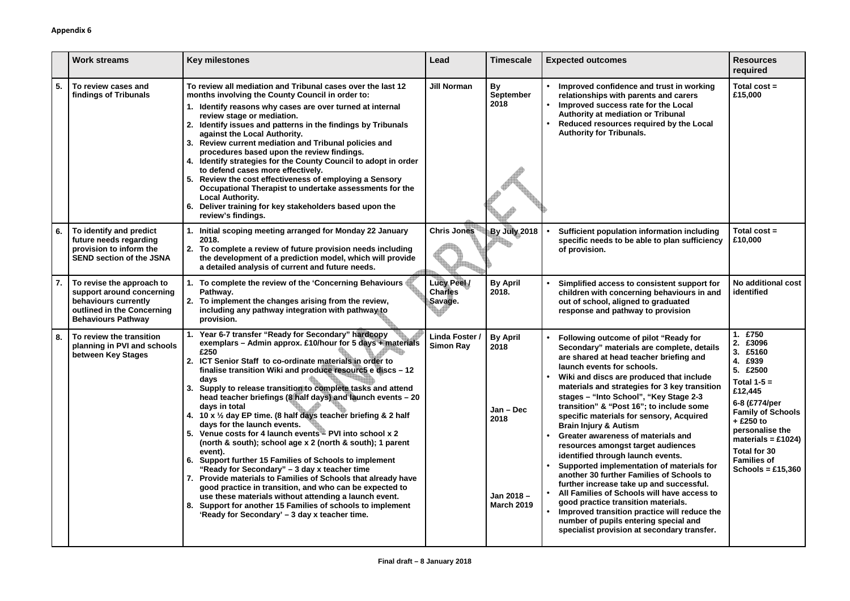|    | <b>Work streams</b>                                                                                                                       | <b>Key milestones</b>                                                                                                                                                                                                                                                                                                                                                                                                                                                                                                                                                                                                                                                                                                                                                                                                                                                                                                                                                                                                                                                 | Lead                                            | <b>Timescale</b>                                                                 | <b>Expected outcomes</b>                                                                                                                                                                                                                                                                                                                                                                                                                                                                                                                                                                                                                                                                                                                                                                                                                                                                                             | <b>Resources</b><br>required                                                                                                                                                                                                                               |
|----|-------------------------------------------------------------------------------------------------------------------------------------------|-----------------------------------------------------------------------------------------------------------------------------------------------------------------------------------------------------------------------------------------------------------------------------------------------------------------------------------------------------------------------------------------------------------------------------------------------------------------------------------------------------------------------------------------------------------------------------------------------------------------------------------------------------------------------------------------------------------------------------------------------------------------------------------------------------------------------------------------------------------------------------------------------------------------------------------------------------------------------------------------------------------------------------------------------------------------------|-------------------------------------------------|----------------------------------------------------------------------------------|----------------------------------------------------------------------------------------------------------------------------------------------------------------------------------------------------------------------------------------------------------------------------------------------------------------------------------------------------------------------------------------------------------------------------------------------------------------------------------------------------------------------------------------------------------------------------------------------------------------------------------------------------------------------------------------------------------------------------------------------------------------------------------------------------------------------------------------------------------------------------------------------------------------------|------------------------------------------------------------------------------------------------------------------------------------------------------------------------------------------------------------------------------------------------------------|
| 5. | To review cases and<br>findings of Tribunals                                                                                              | To review all mediation and Tribunal cases over the last 12<br>months involving the County Council in order to:<br>Identify reasons why cases are over turned at internal<br>review stage or mediation.<br>Identify issues and patterns in the findings by Tribunals<br>against the Local Authority.<br>3. Review current mediation and Tribunal policies and<br>procedures based upon the review findings.<br>4. Identify strategies for the County Council to adopt in order<br>to defend cases more effectively.<br>Review the cost effectiveness of employing a Sensory<br>Occupational Therapist to undertake assessments for the<br><b>Local Authority.</b><br>Deliver training for key stakeholders based upon the<br>6.<br>review's findings.                                                                                                                                                                                                                                                                                                                 | <b>Jill Norman</b>                              | <b>By</b><br>September<br>2018                                                   | Improved confidence and trust in working<br>relationships with parents and carers<br>Improved success rate for the Local<br>Authority at mediation or Tribunal<br>Reduced resources required by the Local<br><b>Authority for Tribunals.</b>                                                                                                                                                                                                                                                                                                                                                                                                                                                                                                                                                                                                                                                                         | Total $cost =$<br>£15,000                                                                                                                                                                                                                                  |
| 6. | To identify and predict<br>future needs regarding<br>provision to inform the<br><b>SEND section of the JSNA</b>                           | Initial scoping meeting arranged for Monday 22 January<br>2018.<br>To complete a review of future provision needs including<br>the development of a prediction model, which will provide<br>a detailed analysis of current and future needs.                                                                                                                                                                                                                                                                                                                                                                                                                                                                                                                                                                                                                                                                                                                                                                                                                          | <b>Chris Jones</b>                              | By July 2018                                                                     | <b>Sufficient population information including</b><br>specific needs to be able to plan sufficiency<br>of provision.                                                                                                                                                                                                                                                                                                                                                                                                                                                                                                                                                                                                                                                                                                                                                                                                 | Total $cost =$<br>£10,000                                                                                                                                                                                                                                  |
| 7. | To revise the approach to<br>support around concerning<br>behaviours currently<br>outlined in the Concerning<br><b>Behaviours Pathway</b> | To complete the review of the 'Concerning Behaviours<br>Pathway.<br>2. To implement the changes arising from the review,<br>including any pathway integration with pathway to<br>provision.                                                                                                                                                                                                                                                                                                                                                                                                                                                                                                                                                                                                                                                                                                                                                                                                                                                                           | <b>Lucy Peel /</b><br><b>Charles</b><br>Savage. | <b>By April</b><br>2018.                                                         | Simplified access to consistent support for<br>children with concerning behaviours in and<br>out of school, aligned to graduated<br>response and pathway to provision                                                                                                                                                                                                                                                                                                                                                                                                                                                                                                                                                                                                                                                                                                                                                | No additional cost<br>identified                                                                                                                                                                                                                           |
| 8. | To review the transition<br>planning in PVI and schools<br>between Key Stages                                                             | Year 6-7 transfer "Ready for Secondary" hardcopy<br>exemplars - Admin approx. £10/hour for 5 days + materials<br>£250<br>2. ICT Senior Staff to co-ordinate materials in order to<br>finalise transition Wiki and produce resourc5 e discs - 12<br>days<br>3. Supply to release transition to complete tasks and attend<br>head teacher briefings (8 half days) and launch events - 20<br>days in total<br>4. 10 x $\frac{1}{2}$ day EP time. (8 half days teacher briefing & 2 half<br>days for the launch events.<br>5. Venue costs for 4 launch events - PVI into school x 2<br>(north & south); school age x 2 (north & south); 1 parent<br>event).<br>6. Support further 15 Families of Schools to implement<br>"Ready for Secondary" – 3 day x teacher time<br>7. Provide materials to Families of Schools that already have<br>good practice in transition, and who can be expected to<br>use these materials without attending a launch event.<br>8. Support for another 15 Families of schools to implement<br>'Ready for Secondary' – 3 day x teacher time. | Linda Foster /<br><b>Simon Ray</b>              | <b>By April</b><br>2018<br>$Jan - Dec$<br>2018<br>Jan 2018-<br><b>March 2019</b> | Following outcome of pilot "Ready for<br>Secondary" materials are complete, details<br>are shared at head teacher briefing and<br>launch events for schools.<br>Wiki and discs are produced that include<br>materials and strategies for 3 key transition<br>stages - "Into School", "Key Stage 2-3<br>transition" & "Post 16"; to include some<br>specific materials for sensory, Acquired<br><b>Brain Injury &amp; Autism</b><br>Greater awareness of materials and<br>resources amongst target audiences<br>identified through launch events.<br>Supported implementation of materials for<br>another 30 further Families of Schools to<br>further increase take up and successful.<br>All Families of Schools will have access to<br>good practice transition materials.<br>Improved transition practice will reduce the<br>number of pupils entering special and<br>specialist provision at secondary transfer. | £750<br>£3096<br>£5160<br>3.<br>£939<br>4.<br>5. £2500<br>Total $1-5=$<br>£12,445<br>6-8 (£774/per<br><b>Family of Schools</b><br>$+$ £250 to<br>personalise the<br>materials = £1024)<br><b>Total for 30</b><br><b>Families of</b><br>Schools = $£15,360$ |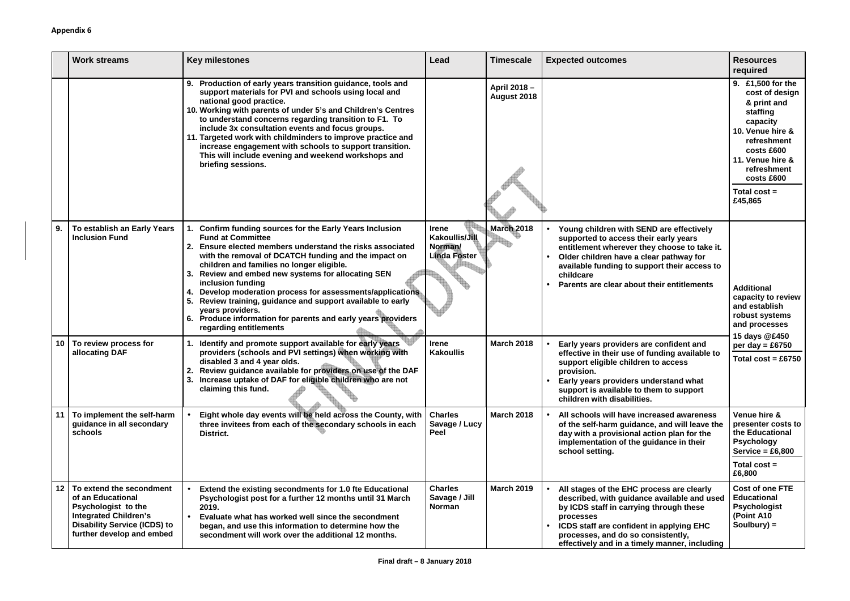|    | <b>Work streams</b>                                                                                                                                                             | <b>Key milestones</b>                                                                                                                                                                                                                                                                                                                                                                                                                                                                                                                                                        | Lead                                                             | <b>Timescale</b>           | <b>Expected outcomes</b>                                                                                                                                                                                                                                                                | <b>Resources</b><br>required                                                                                                                                                                              |
|----|---------------------------------------------------------------------------------------------------------------------------------------------------------------------------------|------------------------------------------------------------------------------------------------------------------------------------------------------------------------------------------------------------------------------------------------------------------------------------------------------------------------------------------------------------------------------------------------------------------------------------------------------------------------------------------------------------------------------------------------------------------------------|------------------------------------------------------------------|----------------------------|-----------------------------------------------------------------------------------------------------------------------------------------------------------------------------------------------------------------------------------------------------------------------------------------|-----------------------------------------------------------------------------------------------------------------------------------------------------------------------------------------------------------|
|    |                                                                                                                                                                                 | 9. Production of early years transition guidance, tools and<br>support materials for PVI and schools using local and<br>national good practice.<br>10. Working with parents of under 5's and Children's Centres<br>to understand concerns regarding transition to F1. To<br>include 3x consultation events and focus groups.<br>11. Targeted work with childminders to improve practice and<br>increase engagement with schools to support transition.<br>This will include evening and weekend workshops and<br>briefing sessions.                                          |                                                                  | April 2018-<br>August 2018 |                                                                                                                                                                                                                                                                                         | 9. £1,500 for the<br>cost of design<br>& print and<br>staffing<br>capacity<br>10. Venue hire &<br>refreshment<br>costs £600<br>11. Venue hire &<br>refreshment<br>costs £600<br>Total $cost =$<br>£45,865 |
| 9. | To establish an Early Years<br><b>Inclusion Fund</b>                                                                                                                            | Confirm funding sources for the Early Years Inclusion<br><b>Fund at Committee</b><br>Ensure elected members understand the risks associated<br>with the removal of DCATCH funding and the impact on<br>children and families no longer eligible.<br>Review and embed new systems for allocating SEN<br>3.<br>inclusion funding<br>Develop moderation process for assessments/applications<br>5.<br>Review training, guidance and support available to early<br>years providers.<br>Produce information for parents and early years providers<br>6.<br>regarding entitlements | <b>Irene</b><br>Kakoullis/Jill<br>Norman/<br><b>Linda Foster</b> | <b>March 2018</b>          | Young children with SEND are effectively<br>supported to access their early years<br>entitlement wherever they choose to take it.<br>Older children have a clear pathway for<br>available funding to support their access to<br>childcare<br>Parents are clear about their entitlements | <b>Additional</b><br>capacity to review<br>and establish<br>robust systems<br>and processes                                                                                                               |
|    | 10 To review process for<br>allocating DAF                                                                                                                                      | Identify and promote support available for early years<br>providers (schools and PVI settings) when working with<br>disabled 3 and 4 year olds.<br>2. Review guidance available for providers on use of the DAF<br>3. Increase uptake of DAF for eligible children who are not<br>claiming this fund.                                                                                                                                                                                                                                                                        | <b>Irene</b><br><b>Kakoullis</b>                                 | <b>March 2018</b>          | Early years providers are confident and<br>effective in their use of funding available to<br>support eligible children to access<br>provision.<br>Early years providers understand what<br>support is available to them to support<br>children with disabilities.                       | 15 days @£450<br>per day = $£6750$<br>Total $cost = £6750$                                                                                                                                                |
|    | To implement the self-harm<br>guidance in all secondary<br>schools                                                                                                              | Eight whole day events will be held across the County, with<br>three invitees from each of the secondary schools in each<br>District.                                                                                                                                                                                                                                                                                                                                                                                                                                        | <b>Charles</b><br>Savage / Lucy<br>Peel                          | <b>March 2018</b>          | All schools will have increased awareness<br>of the self-harm guidance, and will leave the<br>day with a provisional action plan for the<br>implementation of the guidance in their<br>school setting.                                                                                  | Venue hire &<br>presenter costs to<br>the Educational<br><b>Psychology</b><br>Service = $£6,800$<br>Total $cost =$                                                                                        |
| 12 | To extend the secondment<br>of an Educational<br><b>Psychologist to the</b><br><b>Integrated Children's</b><br><b>Disability Service (ICDS) to</b><br>further develop and embed | Extend the existing secondments for 1.0 fte Educational<br>Psychologist post for a further 12 months until 31 March<br>2019.<br>Evaluate what has worked well since the secondment<br>began, and use this information to determine how the<br>secondment will work over the additional 12 months.                                                                                                                                                                                                                                                                            | <b>Charles</b><br>Savage / Jill<br>Norman                        | <b>March 2019</b>          | All stages of the EHC process are clearly<br>described, with guidance available and used<br>by ICDS staff in carrying through these<br>processes<br>ICDS staff are confident in applying EHC<br>processes, and do so consistently,<br>effectively and in a timely manner, including     | £6,800<br><b>Cost of one FTE</b><br><b>Educational</b><br><b>Psychologist</b><br>(Point A10<br>Soulbury) $=$                                                                                              |